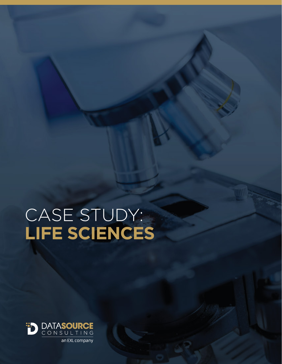# CASE STUDY: **LIFE SCIENCES**

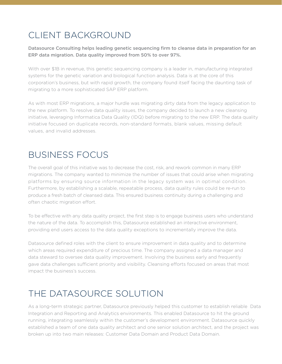# CLIENT BACKGROUND

Datasource Consulting helps leading genetic sequencing firm to cleanse data in preparation for an ERP data migration. Data quality improved from 50% to over 97%.

With over \$1B in revenue, this genetic sequencing company is a leader in, manufacturing integrated systems for the genetic variation and biological function analysis. Data is at the core of this corporation's business, but with rapid growth, the company found itself facing the daunting task of migrating to a more sophisticated SAP ERP platform.

As with most ERP migrations, a major hurdle was migrating dirty data from the legacy application to the new platform. To resolve data quality issues, the company decided to launch a new cleansing initiative, leveraging Informatica Data Quality (IDQ) before migrating to the new ERP. The data quality initiative focused on duplicate records, non-standard formats, blank values, missing default values, and invalid addresses.

#### BUSINESS FOCUS

The overall goal of this initiative was to decrease the cost, risk, and rework common in many ERP migrations. The company wanted to minimize the number of issues that could arise when migrating platforms by ensuring source information in the legacy system was in optimal condition. Furthermore, by establishing a scalable, repeatable process, data quality rules could be re-run to produce a fresh batch of cleansed data. This ensured business continuity during a challenging and often chaotic migration effort.

To be effective with any data quality project, the first step is to engage business users who understand the nature of the data. To accomplish this, Datasource established an interactive environment, providing end users access to the data quality exceptions to incrementally improve the data.

Datasource defined roles with the client to ensure improvement in data quality and to determine which areas required expenditure of precious time. The company assigned a data manager and data steward to oversee data quality improvement. Involving the business early and frequently gave data challenges sufficient priority and visibility. Cleansing efforts focused on areas that most impact the business's success.

## THE DATASOURCE SOLUTION

As a long-term strategic partner, Datasource previously helped this customer to establish reliable Data Integration and Reporting and Analytics environments. This enabled Datasource to hit the ground running, integrating seamlessly within the customer's development environment. Datasource quickly established a team of one data quality architect and one senior solution architect, and the project was broken up into two main releases: Customer Data Domain and Product Data Domain.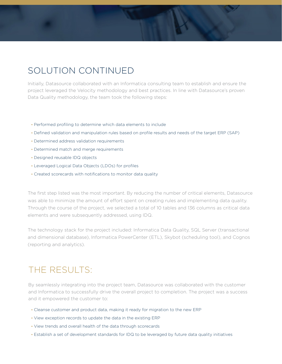### SOLUTION CONTINUED

Initially, Datasource collaborated with an Informatica consulting team to establish and ensure the project leveraged the Velocity methodology and best practices. In line with Datasource's proven Data Quality methodology, the team took the following steps:

- Performed profiling to determine which data elements to include
- Defined validation and manipulation rules based on profile results and needs of the target ERP (SAP)
- Determined address validation requirements
- Determined match and merge requirements
- Designed reusable IDQ objects
- Leveraged Logical Data Objects (LDOs) for profiles
- Created scorecards with notifications to monitor data quality

The first step listed was the most important. By reducing the number of critical elements, Datasource was able to minimize the amount of effort spent on creating rules and implementing data quality. Through the course of the project, we selected a total of 10 tables and 136 columns as critical data elements and were subsequently addressed, using IDQ.

The technology stack for the project included: Informatica Data Quality, SQL Server (transactional and dimensional database), Informatica PowerCenter (ETL), Skybot (scheduling tool), and Cognos (reporting and analytics).

#### THE RESULTS:

By seamlessly integrating into the project team, Datasource was collaborated with the customer and Informatica to successfully drive the overall project to completion. The project was a success and it empowered the customer to:

- Cleanse customer and product data, making it ready for migration to the new ERP
- View exception records to update the data in the existing ERP
- View trends and overall health of the data through scorecards
- Establish a set of development standards for IDQ to be leveraged by future data quality initiatives